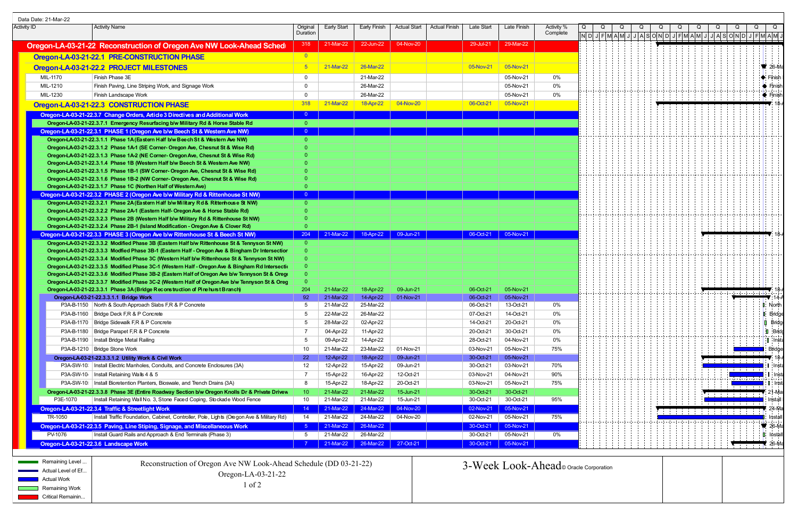|                                            | Data Date: 21-Mar-22  |                                                                                                                                                                               |                         |                        |                        |                        |                      |                        |                        |                                        |  |  |  |                                                       |               |                           |
|--------------------------------------------|-----------------------|-------------------------------------------------------------------------------------------------------------------------------------------------------------------------------|-------------------------|------------------------|------------------------|------------------------|----------------------|------------------------|------------------------|----------------------------------------|--|--|--|-------------------------------------------------------|---------------|---------------------------|
| <b>Activity ID</b><br><b>Activity Name</b> |                       |                                                                                                                                                                               | Original                | <b>Early Start</b>     | <b>Early Finish</b>    | <b>Actual Start</b>    | <b>Actual Finish</b> | Late Start             | Late Finish            | Activity %                             |  |  |  |                                                       |               |                           |
|                                            |                       |                                                                                                                                                                               | Duration                |                        |                        |                        |                      |                        |                        | Complete                               |  |  |  | N D J F M A M J J A S O N D J F M A M J J A S O N D J |               |                           |
|                                            |                       | Oregon-LA-03-21-22 Reconstruction of Oregon Ave NW Look-Ahead Sched                                                                                                           | 318                     | 21-Mar-22              | 22-Jun-22              | 04-Nov-20              |                      | 29-Jul-21              | 29-Mar-22              |                                        |  |  |  |                                                       |               |                           |
|                                            |                       | Oregon-LA-03-21-22.1 PRE-CONSTRUCTION PHASE                                                                                                                                   | $\overline{\mathbf{0}}$ |                        |                        |                        |                      |                        |                        |                                        |  |  |  |                                                       |               |                           |
|                                            |                       |                                                                                                                                                                               | 5 <sup>5</sup>          | 21-Mar-22              | 26-Mar-22              |                        |                      | 05-Nov-21              | 05-Nov-21              |                                        |  |  |  |                                                       |               | $\sqrt{26}$ -Ma           |
|                                            |                       | Oregon-LA-03-21-22.2 PROJECT MILESTONES                                                                                                                                       |                         |                        |                        |                        |                      |                        |                        |                                        |  |  |  |                                                       |               |                           |
|                                            | MIL-1170              | Finish Phase 3E                                                                                                                                                               | $\mathbf{0}$            |                        | 21-Mar-22              |                        |                      |                        | 05-Nov-21              | 0%                                     |  |  |  |                                                       |               | $\blacklozenge$ Finish    |
|                                            | MIL-1210              | Finish Paving, Line Striping Work, and Signage Work                                                                                                                           | $\overline{0}$          |                        | 26-Mar-22              |                        |                      |                        | 05-Nov-21              | 0%                                     |  |  |  |                                                       |               | $\bullet$ Finish          |
|                                            | MIL-1230              | Finish Landscape Work                                                                                                                                                         | $\overline{0}$          |                        | 26-Mar-22              |                        |                      |                        | 05-Nov-21              | 0%                                     |  |  |  |                                                       |               | $\bullet$ Finish          |
|                                            |                       | Oregon-LA-03-21-22.3 CONSTRUCTION PHASE                                                                                                                                       | 318                     | 21-Mar-22              | 18-Apr-22              | 04-Nov-20              |                      | 06-Oct-21              | 05-Nov-21              |                                        |  |  |  |                                                       |               |                           |
|                                            |                       | Oregon-LA-03-21-22.3.7 Change Orders, Article 3 Directives and Additional Work                                                                                                | $\overline{0}$          |                        |                        |                        |                      |                        |                        |                                        |  |  |  |                                                       |               |                           |
|                                            |                       | Oregon-LA-03-21-22.3.7.1 Emergency Resurfacing b/w Military Rd & Horse Stable Rd                                                                                              | $\overline{0}$          |                        |                        |                        |                      |                        |                        |                                        |  |  |  |                                                       |               |                           |
|                                            |                       | Oregon-LA-03-21-22.3.1 PHASE 1 (Oregon Ave b/w Beech St & Western Ave NW)                                                                                                     | $\overline{0}$          |                        |                        |                        |                      |                        |                        |                                        |  |  |  |                                                       |               |                           |
|                                            |                       | Oregon-LA-03-21-22.3.1.1 Phase 1A (Eastern Half b/w Beech St & Western Ave NW)                                                                                                | $\overline{0}$          |                        |                        |                        |                      |                        |                        |                                        |  |  |  |                                                       |               |                           |
|                                            |                       | Oregon-LA-03-21-22.3.1.2 Phase 1A-1 (SE Corner- Oregon Ave, Chesnut St & Wise Rd)<br>Oregon-LA-03-21-22.3.1.3 Phase 1A-2 (NE Corner- Oregon Ave, Chesnut St & Wise Rd)        | 0<br>$\Omega$           |                        |                        |                        |                      |                        |                        |                                        |  |  |  |                                                       |               |                           |
|                                            |                       | Oregon-LA-03-21-22.3.1.4 Phase 1B (Western Half b/w Beech St & Western Ave NW)                                                                                                | $\Omega$                |                        |                        |                        |                      |                        |                        |                                        |  |  |  |                                                       |               |                           |
|                                            |                       | Oregon-LA-03-21-22.3.1.5 Phase 1B-1 (SW Corner- Oregon Ave, Chesnut St & Wise Rd)                                                                                             | 0                       |                        |                        |                        |                      |                        |                        |                                        |  |  |  |                                                       |               |                           |
|                                            |                       | Oregon-LA-03-21-22.3.1.6 Phase 1B-2 (NW Corner- Oregon Ave, Chesnut St & Wise Rd)                                                                                             | $\theta$                |                        |                        |                        |                      |                        |                        |                                        |  |  |  |                                                       |               |                           |
|                                            |                       | Oregon-LA-03-21-22.3.1.7 Phase 1C (Northen Half of Western Ave)                                                                                                               | $\overline{0}$          |                        |                        |                        |                      |                        |                        |                                        |  |  |  |                                                       |               |                           |
|                                            |                       | Oregon-LA-03-21-22.3.2 PHASE 2 (Oregon Ave b/w Military Rd & Rittenhouse St NW)                                                                                               | $\overline{0}$          |                        |                        |                        |                      |                        |                        |                                        |  |  |  |                                                       |               |                           |
|                                            |                       | Oregon-LA-03-21-22.3.2.1 Phase 2A (Eastern Half b/w Military Rd & Ritterhouse St NW)                                                                                          | $\overline{0}$          |                        |                        |                        |                      |                        |                        |                                        |  |  |  |                                                       |               |                           |
|                                            |                       | Oregon-LA-03-21-22.3.2.2 Phase 2A-1 (Eastern Half- Oregon Ave & Horse Stable Rd)                                                                                              |                         |                        |                        |                        |                      |                        |                        |                                        |  |  |  |                                                       |               |                           |
|                                            |                       | Oregon-LA-03-21-22.3.2.3 Phase 2B (Western Half b/w Military Rd & Rittenhouse St NW)                                                                                          | -0                      |                        |                        |                        |                      |                        |                        |                                        |  |  |  |                                                       |               |                           |
|                                            |                       | Oregon-LA-03-21-22.3.2.4 Phase 2B-1 (Island Modification - Oregon Ave & Clover Rd)                                                                                            | $\overline{0}$<br>204   | 21-Mar-22              | 18-Apr-22              | 09-Jun-21              |                      | 06-Oct-21              | 05-Nov-21              |                                        |  |  |  |                                                       |               |                           |
|                                            |                       | Oregon-LA-03-21-22.3.3 PHASE 3 (Oregon Ave b/w Rittenhouse St & Beech St NW)<br>Oregon-LA-03-21-22.3.3.2 Modified Phase 3B (Eastern Half b/w Rittenhouse St & Tennyson St NW) | $\overline{0}$          |                        |                        |                        |                      |                        |                        |                                        |  |  |  |                                                       |               |                           |
|                                            |                       | Oregon-LA-03-21-22.3.3.3 Modfied Phase 3B-1 (Eastern Half - Oregon Ave & Bingham Dr Intersectior                                                                              | $\Omega$                |                        |                        |                        |                      |                        |                        |                                        |  |  |  |                                                       |               |                           |
|                                            |                       | Oregon-LA-03-21-22.3.3.4 Modified Phase 3C (Western Half b/w Rittenhouse St & Tennyson St NW)                                                                                 |                         |                        |                        |                        |                      |                        |                        |                                        |  |  |  |                                                       |               |                           |
|                                            |                       | Oregon-LA-03-21-22.3.3.5 Modified Phase 3C-1 (Western Half - Oregon Ave & Bingham Rd Intersection                                                                             |                         |                        |                        |                        |                      |                        |                        |                                        |  |  |  |                                                       |               |                           |
|                                            |                       | Oregon-LA-03-21-22.3.3.6 Modified Phase 3B-2 (Eastern Half of Oregon Ave b/w Tennyson St & Oregon                                                                             | $\Omega$                |                        |                        |                        |                      |                        |                        |                                        |  |  |  |                                                       |               |                           |
|                                            |                       | Oregon-LA-03-21-22.3.3.7 Modified Phase 3C-2 (Western Half of Oregon Ave b/w Tennyson St & Oreg                                                                               | $\Omega$                |                        |                        |                        |                      |                        |                        |                                        |  |  |  |                                                       |               |                           |
|                                            |                       | Oregon-LA-03-21-22.3.3.1 Phase 3A (Bridge Reconstruction of Pine hurst Branch)                                                                                                | 204                     | 21-Mar-22              | 18-Apr-22              | 09-Jun-21              |                      | 06-Oct-21              | 05-Nov-21              |                                        |  |  |  |                                                       |               |                           |
|                                            |                       | Oregon-LA-03-21-22.3.3.1.1 Bridge Work                                                                                                                                        | 92                      | 21-Mar-22              | 14-Apr-22              | 01-Nov-21              |                      | 06-Oct-21              | 05-Nov-21              |                                        |  |  |  |                                                       |               |                           |
|                                            |                       | P3A-B-1150   North & South Approach Slabs F,R & P Concrete                                                                                                                    | 5                       | 21-Mar-22              | 25-Mar-22              |                        |                      | 06-Oct-21              | 13-Oct-21              | 0%                                     |  |  |  |                                                       |               | North                     |
|                                            |                       | P3A-B-1160   Bridge Deck F,R & P Concrete                                                                                                                                     | 5                       | 22-Mar-22              | 26-Mar-22              |                        |                      | 07-Oct-21              | 14-Oct-21              | 0%                                     |  |  |  |                                                       |               | <b>I</b> Bridge           |
|                                            |                       | P3A-B-1170   Bridge Sidewalk F,R & P Concrete                                                                                                                                 | 5                       | 28-Mar-22              | 02-Apr-22              |                        |                      | 14-Oct-21              | 20-Oct-21              | 0%                                     |  |  |  |                                                       |               | <b>D</b> Bridge           |
|                                            |                       | P3A-B-1180   Bridge Parapet F,R & P Concrete                                                                                                                                  |                         | 04-Apr-22              | 11-Apr-22              |                        |                      | 20-Oct-21              | 30-Oct-21              | $0\%$                                  |  |  |  |                                                       |               | $\Box$ Brid               |
|                                            |                       | P3A-B-1190   Install Bridge Metal Railing                                                                                                                                     | 5                       | 09-Apr-22              | 14-Apr-22              |                        |                      | 28-Oct-21              | 04-Nov-21              | 0%                                     |  |  |  |                                                       |               | <b>I</b> Inst             |
|                                            |                       | P3A-B-1210   Bridge Stone Work                                                                                                                                                | 10 <sup>°</sup>         | 21-Mar-22              | 23-Mar-22              | 01-Nov-21              |                      | 03-Nov-21              | 05-Nov-21              | 75%                                    |  |  |  |                                                       |               | Bridge                    |
|                                            |                       | Oregon-LA-03-21-22.3.3.1.2 Utility Work & Civil Work<br>P3A-SW-10:   Install Electric Manholes, Conduits, and Concrete Enclosures (3A)                                        | 22                      | 12-Apr-22              | 18-Apr-22              | 09-Jun-21              |                      | 30-Oct-21              | 05-Nov-21              | 70%                                    |  |  |  | and the state and the state                           |               |                           |
|                                            |                       |                                                                                                                                                                               | 12                      | 12-Apr-22              | 15-Apr-22              | 09-Jun-21              |                      | 30-Oct-21              | 03-Nov-21              |                                        |  |  |  |                                                       |               | : Insta                   |
|                                            |                       | P3A-SW-10   Install Retaining Walls 4 & 5<br>P3A-SW-10   Install Bioretention Planters, Bioswale, and Trench Drains (3A)                                                      | 7<br>8                  | 15-Apr-22              | 16-Apr-22              | 12-Oct-21              |                      | 03-Nov-21              | 04-Nov-21              | 90%<br>75%                             |  |  |  |                                                       | i--i--i--i--i | ⊢Inst                     |
|                                            |                       |                                                                                                                                                                               |                         | 15-Apr-22              | 18-Apr-22              | 20-Oct-21              |                      | 03-Nov-21              | 05-Nov-21              |                                        |  |  |  |                                                       |               | <b>U</b> Inst             |
|                                            | P3E-1070              | Oregon-LA-03-21-22.3.3.8 Phase 3E (Entire Roadway Section b/w Oregon Knolls Dr & Private Drivew<br>Install Retaining Wall No. 3, Stone Faced Coping, Stockade Wood Fence      | 10 <sup>°</sup><br>10   | 21-Mar-22<br>21-Mar-22 | 21-Mar-22<br>21-Mar-22 | 15-Jun-21<br>15-Jun-21 |                      | 30-Oct-21<br>30-Oct-21 | 30-Oct-21<br>30-Oct-21 | 95%                                    |  |  |  | <b>Service Provide</b>                                |               | '21-Ма<br>Install         |
|                                            |                       | Oregon-LA-03-21-22.3.4 Traffic & Streetlight Work                                                                                                                             | 14 <sup>2</sup>         | 21-Mar-22              | 24-Mar-22              | 04-Nov-20              |                      | 02-Nov-21              | 05-Nov-21              |                                        |  |  |  | .                                                     |               | ' 24-Ma                   |
|                                            | TR-1050               | Install Traffic Foundation, Cabinet, Controller, Pole, Lights (Oregon Ave & Military Rd)                                                                                      | 14                      | 21-Mar-22              | 24-Mar-22              | 04-Nov-20              |                      | 02-Nov-21              | 05-Nov-21              | 75%                                    |  |  |  | .                                                     |               | Install                   |
|                                            |                       | Oregon-LA-03-21-22.3.5 Paving, Line Stiping, Signage, and Miscellaneous Work                                                                                                  |                         | 21-Mar-22              | 26-Mar-22              |                        |                      | 30-Oct-21              | 05-Nov-21              |                                        |  |  |  |                                                       |               | $\blacktriangledown$ 26-M |
|                                            | PV-1076               | Install Guard Rails and Approach & End Terminals (Phase 3)                                                                                                                    | 5                       | 21-Mar-22              | 26-Mar-22              |                        |                      | 30-Oct-21              | 05-Nov-21              | $0\%$                                  |  |  |  |                                                       |               | <b>D</b> Instal           |
|                                            |                       | Oregon-LA-03-21-22.3.6 Landscape Work                                                                                                                                         |                         | 21-Mar-22              | 26-Mar-22              | 27-Oct-21              |                      | 30-Oct-21              | 05-Nov-21              |                                        |  |  |  |                                                       |               | $\triangledown$ 26-M      |
|                                            |                       |                                                                                                                                                                               |                         |                        |                        |                        |                      |                        |                        |                                        |  |  |  |                                                       |               |                           |
|                                            |                       |                                                                                                                                                                               |                         |                        |                        |                        |                      |                        |                        |                                        |  |  |  |                                                       |               |                           |
|                                            | Remaining Level.      | Reconstruction of Oregon Ave NW Look-Ahead Schedule (DD 03-21-22)                                                                                                             |                         |                        |                        |                        |                      |                        |                        | 3-Week Look-Ahead © Oracle Corporation |  |  |  |                                                       |               |                           |
|                                            | Actual Level of Ef.   | Oregon-LA-03-21-22                                                                                                                                                            |                         |                        |                        |                        |                      |                        |                        |                                        |  |  |  |                                                       |               |                           |
|                                            | <b>Actual Work</b>    | $1$ of $2$                                                                                                                                                                    |                         |                        |                        |                        |                      |                        |                        |                                        |  |  |  |                                                       |               |                           |
|                                            | <b>Remaining Work</b> |                                                                                                                                                                               |                         |                        |                        |                        |                      |                        |                        |                                        |  |  |  |                                                       |               |                           |
|                                            | Critical Remainin     |                                                                                                                                                                               |                         |                        |                        |                        |                      |                        |                        |                                        |  |  |  |                                                       |               |                           |

| l of 2                                                                                     | Actual Level of Ef |
|--------------------------------------------------------------------------------------------|--------------------|
| Remaining Work                                                                             | Oregon-LA-03-21-22 |
| $\mathcal{O}(\mathcal{O}_\mathcal{A})$ . The set of $\mathcal{O}(\mathcal{O}_\mathcal{A})$ | <b>Actual Work</b> |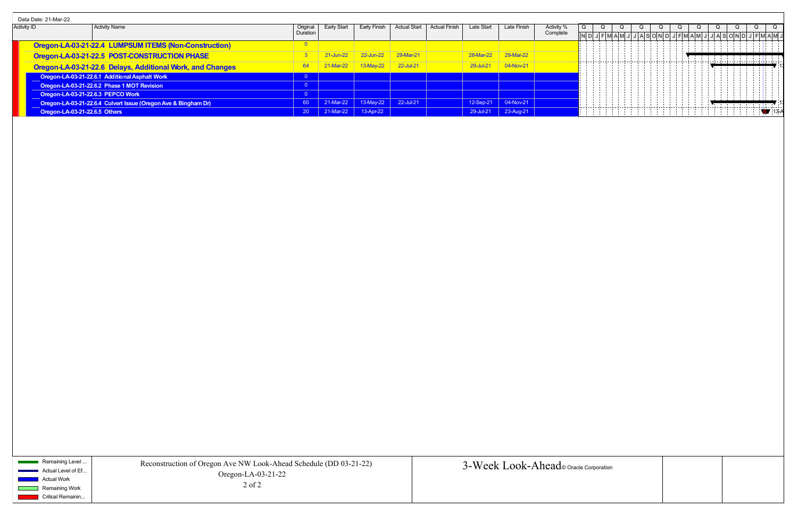| Data Date: 21-Mar-22                       |                                   |                                                                |           |             |              |               |  |            |                       |            |  |  |  |  |  |  |  |
|--------------------------------------------|-----------------------------------|----------------------------------------------------------------|-----------|-------------|--------------|---------------|--|------------|-----------------------|------------|--|--|--|--|--|--|--|
| <b>Activity ID</b><br><b>Activity Name</b> |                                   |                                                                | Origina   | Early Start | Early Finish | Actual Start  |  | Late Start | Late Finish           | Activity % |  |  |  |  |  |  |  |
|                                            |                                   |                                                                | Duration  |             |              |               |  |            |                       | Complete   |  |  |  |  |  |  |  |
|                                            |                                   | Oregon-LA-03-21-22.4 LUMPSUM ITEMS (Non-Construction)          |           |             |              |               |  |            |                       |            |  |  |  |  |  |  |  |
|                                            |                                   | Oregon-LA-03-21-22.5 POST-CONSTRUCTION PHASE                   |           | 1-Jun-22    | 22-Jun-22    | 29-Mar-21     |  | 28-Mar-22  | 29-Mar-22             |            |  |  |  |  |  |  |  |
|                                            |                                   | Oregon-LA-03-21-22.6 Delays, Additional Work, and Changes      | 64        | $-$ Mar-22  |              | $22 -$ Jul-21 |  | 29-Jul-21  | 04-Nov-21             |            |  |  |  |  |  |  |  |
|                                            |                                   | Oregon-LA-03-21-22.6.1 Additional Asphalt Work                 |           |             |              |               |  |            |                       |            |  |  |  |  |  |  |  |
|                                            |                                   | Oregon-LA-03-21-22.6.2 Phase 1 MOT Revision                    |           |             |              |               |  |            |                       |            |  |  |  |  |  |  |  |
|                                            | Oregon-LA-03-21-22.6.3 PEPCO Work |                                                                |           |             |              |               |  |            |                       |            |  |  |  |  |  |  |  |
|                                            |                                   | Oregon-LA-03-21-22.6.4 Culvert Issue (Oregon Ave & Bingham Dr) | 60        | 21-Mar-22   | $13-May-22$  | 22-Jul-21     |  |            | 12-Sep-21   04-Nov-21 |            |  |  |  |  |  |  |  |
|                                            | Oregon-LA-03-21-22.6.5 Others     |                                                                | <b>20</b> | 21-Mar-22   | 13-Apr-22    |               |  |            | 29-Jul-21 23-Aug-21   |            |  |  |  |  |  |  |  |

Remaining Level ... Actual Level of Ef... Actual Work Remaining Work

 $\sim$ 

Critical Remainin...